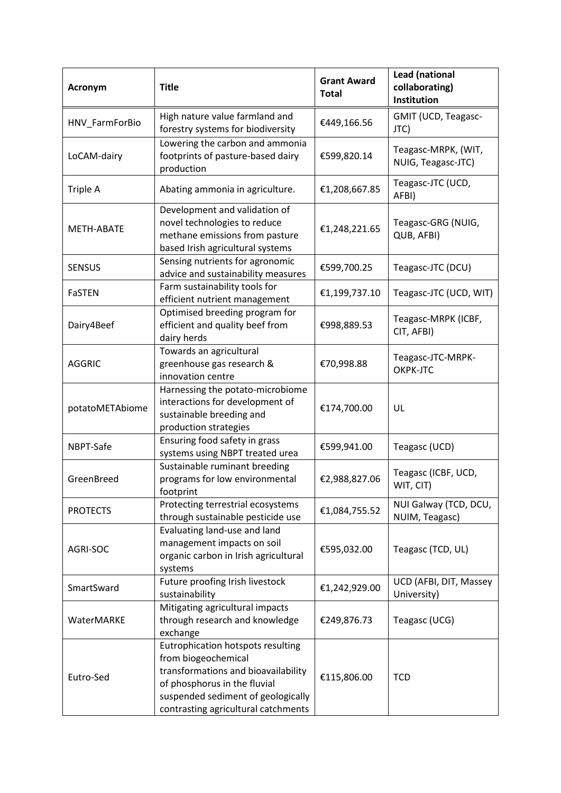| Acronym           | <b>Title</b>                                                                                                                                                                                                 | <b>Grant Award</b><br><b>Total</b> | <b>Lead (national</b><br>collaborating)<br>Institution |
|-------------------|--------------------------------------------------------------------------------------------------------------------------------------------------------------------------------------------------------------|------------------------------------|--------------------------------------------------------|
| HNV_FarmForBio    | High nature value farmland and<br>forestry systems for biodiversity                                                                                                                                          | €449,166.56                        | GMIT (UCD, Teagasc-<br>JTC)                            |
| LoCAM-dairy       | Lowering the carbon and ammonia<br>footprints of pasture-based dairy<br>production                                                                                                                           | €599,820.14                        | Teagasc-MRPK, (WIT,<br>NUIG, Teagasc-JTC)              |
| Triple A          | Abating ammonia in agriculture.                                                                                                                                                                              | €1,208,667.85                      | Teagasc-JTC (UCD,<br>AFBI)                             |
| <b>METH-ABATE</b> | Development and validation of<br>novel technologies to reduce<br>methane emissions from pasture<br>based Irish agricultural systems                                                                          | €1,248,221.65                      | Teagasc-GRG (NUIG,<br>QUB, AFBI)                       |
| <b>SENSUS</b>     | Sensing nutrients for agronomic<br>advice and sustainability measures                                                                                                                                        | €599,700.25                        | Teagasc-JTC (DCU)                                      |
| <b>FaSTEN</b>     | Farm sustainability tools for<br>efficient nutrient management                                                                                                                                               | €1,199,737.10                      | Teagasc-JTC (UCD, WIT)                                 |
| Dairy4Beef        | Optimised breeding program for<br>efficient and quality beef from<br>dairy herds                                                                                                                             | €998,889.53                        | Teagasc-MRPK (ICBF,<br>CIT, AFBI)                      |
| <b>AGGRIC</b>     | Towards an agricultural<br>greenhouse gas research &<br>innovation centre                                                                                                                                    | €70,998.88                         | Teagasc-JTC-MRPK-<br>OKPK-JTC                          |
| potatoMETAbiome   | Harnessing the potato-microbiome<br>interactions for development of<br>sustainable breeding and<br>production strategies                                                                                     | €174,700.00                        | UL                                                     |
| NBPT-Safe         | Ensuring food safety in grass<br>systems using NBPT treated urea                                                                                                                                             | €599,941.00                        | Teagasc (UCD)                                          |
| GreenBreed        | Sustainable ruminant breeding<br>programs for low environmental<br>footprint                                                                                                                                 | €2,988,827.06                      | Teagasc (ICBF, UCD,<br>WIT, CIT)                       |
| <b>PROTECTS</b>   | Protecting terrestrial ecosystems<br>through sustainable pesticide use                                                                                                                                       | €1,084,755.52                      | NUI Galway (TCD, DCU,<br>NUIM, Teagasc)                |
| AGRI-SOC          | Evaluating land-use and land<br>management impacts on soil<br>organic carbon in Irish agricultural<br>systems                                                                                                | €595,032.00                        | Teagasc (TCD, UL)                                      |
| SmartSward        | Future proofing Irish livestock<br>sustainability                                                                                                                                                            | €1,242,929.00                      | UCD (AFBI, DIT, Massey<br>University)                  |
| WaterMARKE        | Mitigating agricultural impacts<br>through research and knowledge<br>exchange                                                                                                                                | €249,876.73                        | Teagasc (UCG)                                          |
| Eutro-Sed         | Eutrophication hotspots resulting<br>from biogeochemical<br>transformations and bioavailability<br>of phosphorus in the fluvial<br>suspended sediment of geologically<br>contrasting agricultural catchments | €115,806.00                        | <b>TCD</b>                                             |